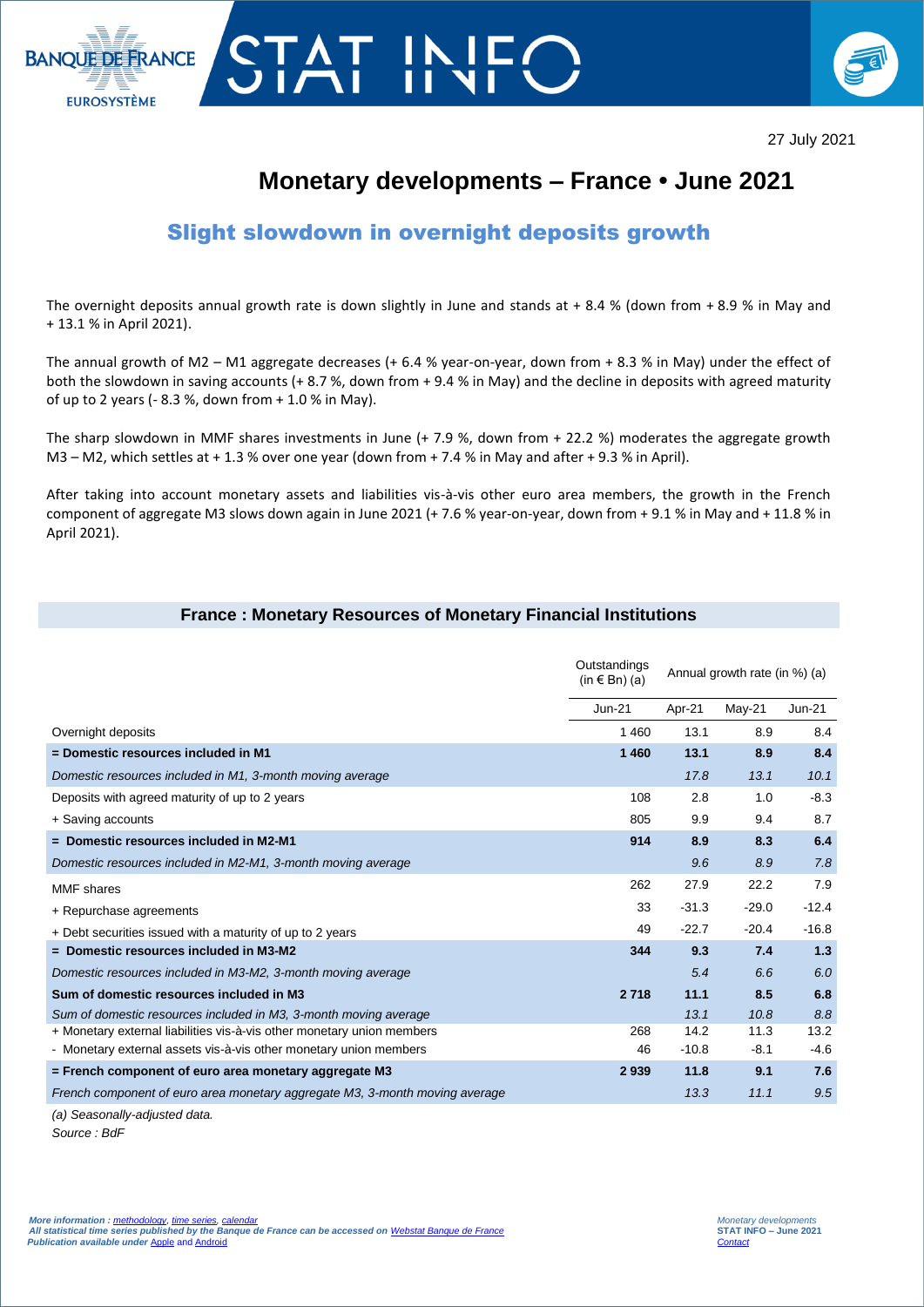



# **Monetary developments – France • June 2021**

## Slight slowdown in overnight deposits growth

The overnight deposits annual growth rate is down slightly in June and stands at  $+ 8.4$  % (down from  $+ 8.9$  % in May and + 13.1 % in April 2021).

The annual growth of M2 – M1 aggregate decreases (+ 6.4 % year-on-year, down from + 8.3 % in May) under the effect of both the slowdown in saving accounts (+ 8.7 %, down from + 9.4 % in May) and the decline in deposits with agreed maturity of up to 2 years (- 8.3 %, down from + 1.0 % in May).

The sharp slowdown in MMF shares investments in June (+ 7.9 %, down from + 22.2 %) moderates the aggregate growth M3 – M2, which settles at + 1.3 % over one year (down from + 7.4 % in May and after + 9.3 % in April).

After taking into account monetary assets and liabilities vis-à-vis other euro area members, the growth in the French component of aggregate M3 slows down again in June 2021 (+ 7.6 % year-on-year, down from + 9.1 % in May and + 11.8 % in April 2021).

#### **France : Monetary Resources of Monetary Financial Institutions**

|                                                                             | Outstandings<br>$(in \in Bn)$ (a) | Annual growth rate (in %) (a) |          |          |
|-----------------------------------------------------------------------------|-----------------------------------|-------------------------------|----------|----------|
|                                                                             | Jun-21                            | Apr-21                        | $May-21$ | $Jun-21$ |
| Overnight deposits                                                          | 1460                              | 13.1                          | 8.9      | 8.4      |
| = Domestic resources included in M1                                         | 1 460                             | 13.1                          | 8.9      | 8.4      |
| Domestic resources included in M1, 3-month moving average                   |                                   | 17.8                          | 13.1     | 10.1     |
| Deposits with agreed maturity of up to 2 years                              | 108                               | 2.8                           | 1.0      | $-8.3$   |
| + Saving accounts                                                           | 805                               | 9.9                           | 9.4      | 8.7      |
| $=$ Domestic resources included in M2-M1                                    | 914                               | 8.9                           | 8.3      | 6.4      |
| Domestic resources included in M2-M1, 3-month moving average                |                                   | 9.6                           | 8.9      | 7.8      |
| <b>MMF</b> shares                                                           | 262                               | 27.9                          | 22.2     | 7.9      |
| + Repurchase agreements                                                     | 33                                | $-31.3$                       | $-29.0$  | $-12.4$  |
| + Debt securities issued with a maturity of up to 2 years                   | 49                                | $-22.7$                       | $-20.4$  | $-16.8$  |
| $=$ Domestic resources included in M3-M2                                    | 344                               | 9.3                           | 7.4      | 1.3      |
| Domestic resources included in M3-M2, 3-month moving average                |                                   | 5.4                           | 6.6      | 6.0      |
| Sum of domestic resources included in M3                                    | 2 7 18                            | 11.1                          | 8.5      | 6.8      |
| Sum of domestic resources included in M3, 3-month moving average            |                                   | 13.1                          | 10.8     | 8.8      |
| + Monetary external liabilities vis-à-vis other monetary union members      | 268                               | 14.2                          | 11.3     | 13.2     |
| - Monetary external assets vis-à-vis other monetary union members           | 46                                | $-10.8$                       | $-8.1$   | $-4.6$   |
| $=$ French component of euro area monetary aggregate M3                     | 2939                              | 11.8                          | 9.1      | 7.6      |
| French component of euro area monetary aggregate M3, 3-month moving average |                                   | 13.3                          | 11.1     | 9.5      |
|                                                                             |                                   |                               |          |          |

*(a) Seasonally-adjusted data. Source : BdF*

I